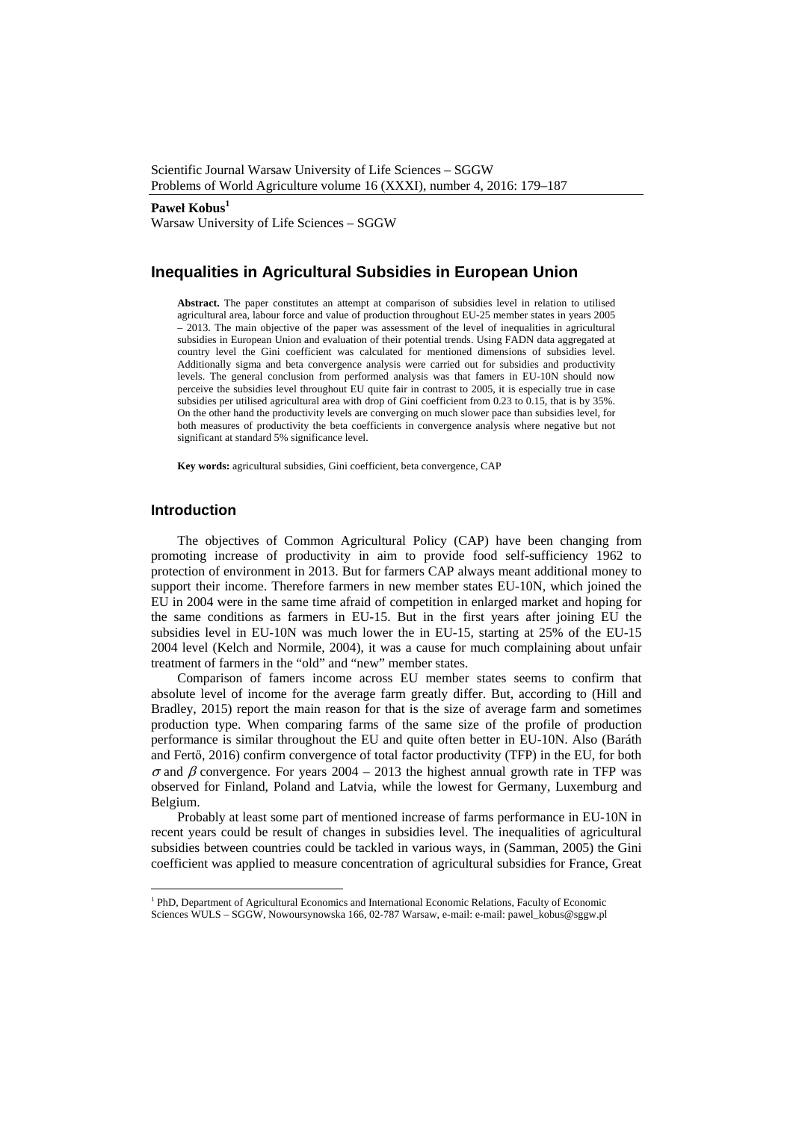Scientific Journal Warsaw University of Life Sciences – SGGW Problems of World Agriculture volume 16 (XXXI), number 4, 2016: 179–187

#### Paweł **Kobus<sup>1</sup>**

Warsaw University of Life Sciences – SGGW

# **Inequalities in Agricultural Subsidies in European Union**

**Abstract.** The paper constitutes an attempt at comparison of subsidies level in relation to utilised agricultural area, labour force and value of production throughout EU-25 member states in years 2005 – 2013. The main objective of the paper was assessment of the level of inequalities in agricultural subsidies in European Union and evaluation of their potential trends. Using FADN data aggregated at country level the Gini coefficient was calculated for mentioned dimensions of subsidies level. Additionally sigma and beta convergence analysis were carried out for subsidies and productivity levels. The general conclusion from performed analysis was that famers in EU-10N should now perceive the subsidies level throughout EU quite fair in contrast to 2005, it is especially true in case subsidies per utilised agricultural area with drop of Gini coefficient from 0.23 to 0.15, that is by 35%. On the other hand the productivity levels are converging on much slower pace than subsidies level, for both measures of productivity the beta coefficients in convergence analysis where negative but not significant at standard 5% significance level.

**Key words:** agricultural subsidies, Gini coefficient, beta convergence, CAP

### **Introduction**

 $\overline{a}$ 

The objectives of Common Agricultural Policy (CAP) have been changing from promoting increase of productivity in aim to provide food self-sufficiency 1962 to protection of environment in 2013. But for farmers CAP always meant additional money to support their income. Therefore farmers in new member states EU-10N, which joined the EU in 2004 were in the same time afraid of competition in enlarged market and hoping for the same conditions as farmers in EU-15. But in the first years after joining EU the subsidies level in EU-10N was much lower the in EU-15, starting at 25% of the EU-15 2004 level (Kelch and Normile, 2004), it was a cause for much complaining about unfair treatment of farmers in the "old" and "new" member states.

Comparison of famers income across EU member states seems to confirm that absolute level of income for the average farm greatly differ. But, according to (Hill and Bradley, 2015) report the main reason for that is the size of average farm and sometimes production type. When comparing farms of the same size of the profile of production performance is similar throughout the EU and quite often better in EU-10N. Also (Baráth and Fertő, 2016) confirm convergence of total factor productivity (TFP) in the EU, for both  $\sigma$  and  $\beta$  convergence. For years 2004 – 2013 the highest annual growth rate in TFP was observed for Finland, Poland and Latvia, while the lowest for Germany, Luxemburg and Belgium.

Probably at least some part of mentioned increase of farms performance in EU-10N in recent years could be result of changes in subsidies level. The inequalities of agricultural subsidies between countries could be tackled in various ways, in (Samman, 2005) the Gini coefficient was applied to measure concentration of agricultural subsidies for France, Great

<sup>&</sup>lt;sup>1</sup> PhD, Department of Agricultural Economics and International Economic Relations, Faculty of Economic Sciences WULS – SGGW, Nowoursynowska 166, 02-787 Warsaw, e-mail: e-mail: pawel\_kobus@sggw.pl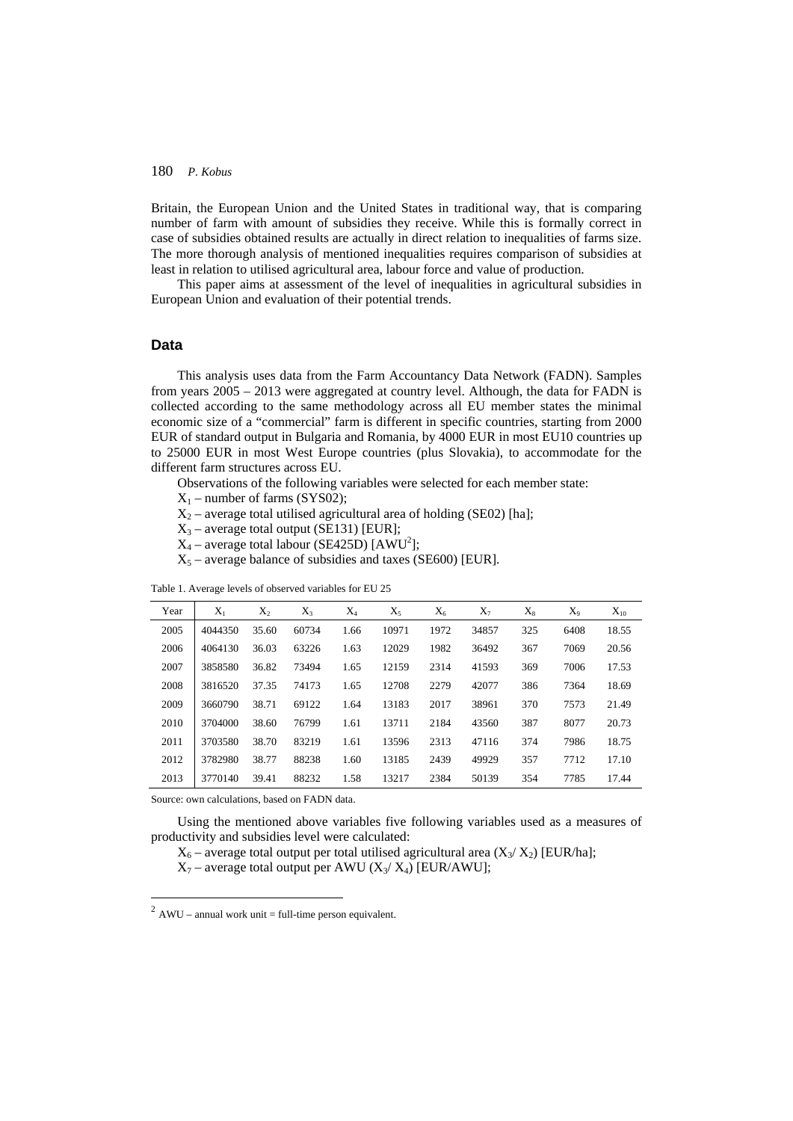Britain, the European Union and the United States in traditional way, that is comparing number of farm with amount of subsidies they receive. While this is formally correct in case of subsidies obtained results are actually in direct relation to inequalities of farms size. The more thorough analysis of mentioned inequalities requires comparison of subsidies at least in relation to utilised agricultural area, labour force and value of production.

This paper aims at assessment of the level of inequalities in agricultural subsidies in European Union and evaluation of their potential trends.

## **Data**

This analysis uses data from the Farm Accountancy Data Network (FADN). Samples from years 2005 – 2013 were aggregated at country level. Although, the data for FADN is collected according to the same methodology across all EU member states the minimal economic size of a "commercial" farm is different in specific countries, starting from 2000 EUR of standard output in Bulgaria and Romania, by 4000 EUR in most EU10 countries up to 25000 EUR in most West Europe countries (plus Slovakia), to accommodate for the different farm structures across EU.

Observations of the following variables were selected for each member state:

 $X_1$  – number of farms (SYS02);

 $X_2$  – average total utilised agricultural area of holding (SE02) [ha];

 $X_3$  – average total output (SE131) [EUR];

 $X_4$  – average total labour (SE425D) [AWU<sup>2</sup>];

 $X_5$  – average balance of subsidies and taxes (SE600) [EUR].

| Year | $X_1$   | $X_2$ | $X_3$ | $X_4$ | $X_5$ | $X_6$ | $X_7$ | $X_8$ | $X_{9}$ | $X_{10}$ |
|------|---------|-------|-------|-------|-------|-------|-------|-------|---------|----------|
| 2005 | 4044350 | 35.60 | 60734 | 1.66  | 10971 | 1972  | 34857 | 325   | 6408    | 18.55    |
| 2006 | 4064130 | 36.03 | 63226 | 1.63  | 12029 | 1982  | 36492 | 367   | 7069    | 20.56    |
| 2007 | 3858580 | 36.82 | 73494 | 1.65  | 12159 | 2314  | 41593 | 369   | 7006    | 17.53    |
| 2008 | 3816520 | 37.35 | 74173 | 1.65  | 12708 | 2279  | 42077 | 386   | 7364    | 18.69    |
| 2009 | 3660790 | 38.71 | 69122 | 1.64  | 13183 | 2017  | 38961 | 370   | 7573    | 21.49    |
| 2010 | 3704000 | 38.60 | 76799 | 1.61  | 13711 | 2184  | 43560 | 387   | 8077    | 20.73    |
| 2011 | 3703580 | 38.70 | 83219 | 1.61  | 13596 | 2313  | 47116 | 374   | 7986    | 18.75    |
| 2012 | 3782980 | 38.77 | 88238 | 1.60  | 13185 | 2439  | 49929 | 357   | 7712    | 17.10    |
| 2013 | 3770140 | 39.41 | 88232 | 1.58  | 13217 | 2384  | 50139 | 354   | 7785    | 17.44    |

Table 1. Average levels of observed variables for EU 25

Source: own calculations, based on FADN data.

 $\overline{a}$ 

Using the mentioned above variables five following variables used as a measures of productivity and subsidies level were calculated:

 $X_6$  – average total output per total utilised agricultural area  $(X_3/X_2)$  [EUR/ha];

 $X_7$  – average total output per AWU ( $X_3/X_4$ ) [EUR/AWU];

 $2$  AWU – annual work unit = full-time person equivalent.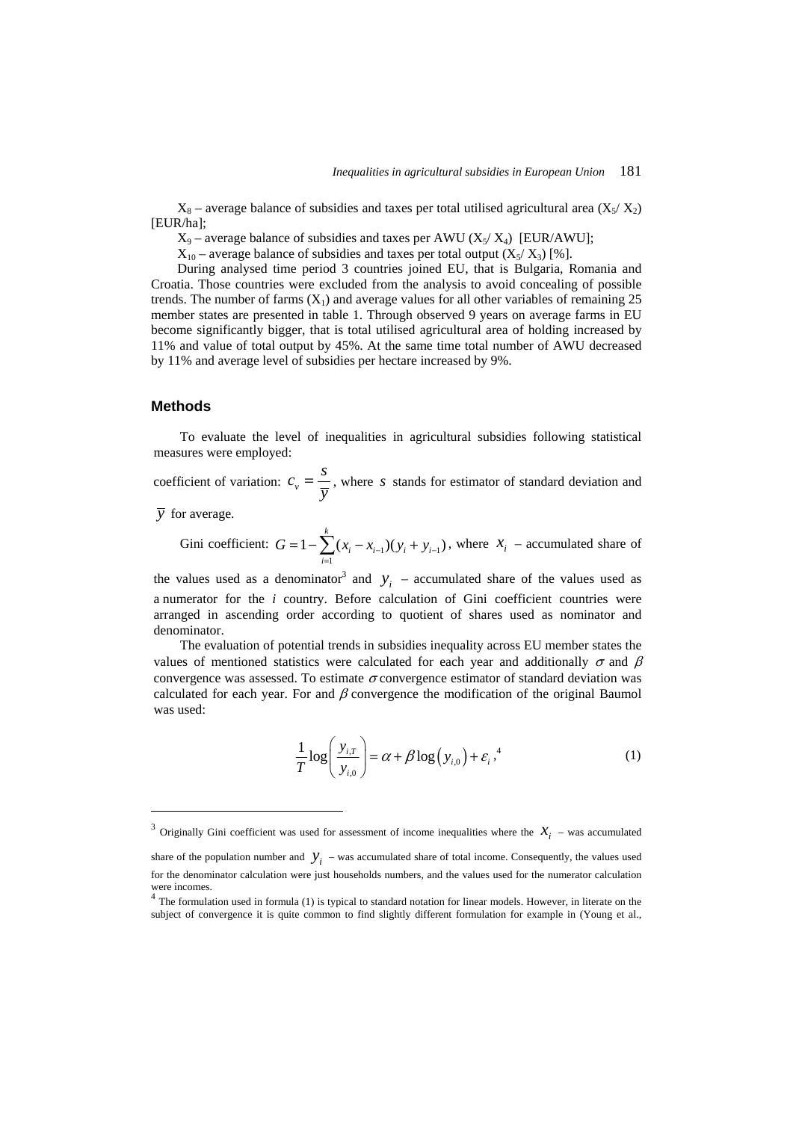$X_8$  – average balance of subsidies and taxes per total utilised agricultural area  $(X_5/X_2)$ [EUR/ha];

 $X_9$  – average balance of subsidies and taxes per AWU ( $X_5/X_4$ ) [EUR/AWU];

 $X_{10}$  – average balance of subsidies and taxes per total output  $(X_5/X_3)$  [%].

During analysed time period 3 countries joined EU, that is Bulgaria, Romania and Croatia. Those countries were excluded from the analysis to avoid concealing of possible trends. The number of farms  $(X_1)$  and average values for all other variables of remaining 25 member states are presented in table 1. Through observed 9 years on average farms in EU become significantly bigger, that is total utilised agricultural area of holding increased by 11% and value of total output by 45%. At the same time total number of AWU decreased by 11% and average level of subsidies per hectare increased by 9%.

### **Methods**

To evaluate the level of inequalities in agricultural subsidies following statistical measures were employed:

coefficient of variation:  $c_{\nu}$  $c_y = \frac{s}{y}$ , where *s* stands for estimator of standard deviation and

*y* for average.

 $\overline{a}$ 

Gini coefficient:  $G = 1 - \sum_{i=1}^{n} (x_i - x_{i-1})(y_i + y_{i-1})$  $1 - \sum_{i=1}^{k} (x_i - x_{i-1})(y_i + y_{i-1})$  $G = 1 - \sum_{i=1}^{n} (x_i - x_{i-1})(y_i + y_{i-1})$ , where  $x_i$  – accumulated share of

the values used as a denominator<sup>3</sup> and  $y_i$  – accumulated share of the values used as a numerator for the *i* country. Before calculation of Gini coefficient countries were arranged in ascending order according to quotient of shares used as nominator and denominator.

The evaluation of potential trends in subsidies inequality across EU member states the values of mentioned statistics were calculated for each year and additionally  $\sigma$  and  $\beta$ convergence was assessed. To estimate  $\sigma$  convergence estimator of standard deviation was calculated for each year. For and  $\beta$  convergence the modification of the original Baumol was used:

$$
\frac{1}{T}\log\left(\frac{y_{i,T}}{y_{i,0}}\right) = \alpha + \beta \log\left(y_{i,0}\right) + \varepsilon_i^4\tag{1}
$$

<sup>&</sup>lt;sup>3</sup> Originally Gini coefficient was used for assessment of income inequalities where the  $X_i$  – was accumulated

share of the population number and  $\mathcal{Y}_i$  – was accumulated share of total income. Consequently, the values used for the denominator calculation were just households numbers, and the values used for the numerator calculation were incomes.

<sup>&</sup>lt;sup>4</sup> The formulation used in formula (1) is typical to standard notation for linear models. However, in literate on the subject of convergence it is quite common to find slightly different formulation for example in (Young et al.,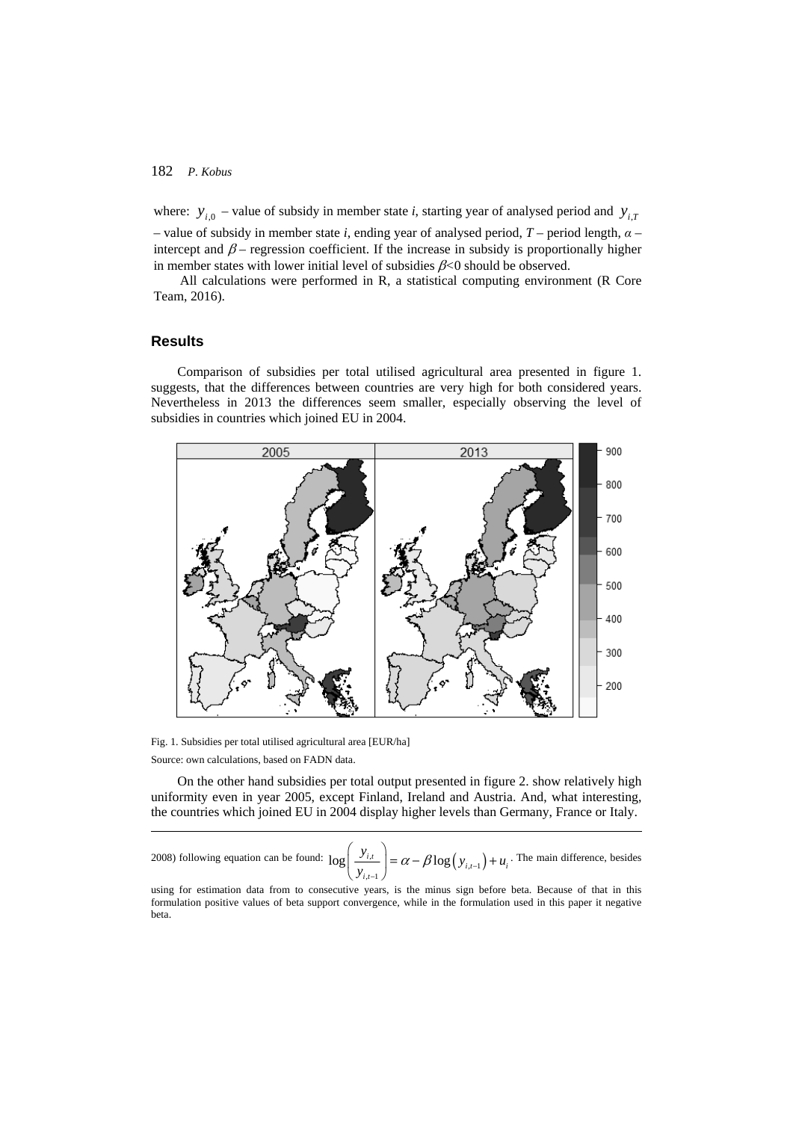where:  $y_{i,0}$  – value of subsidy in member state *i*, starting year of analysed period and  $y_{i,T}$ 

– value of subsidy in member state *i*, ending year of analysed period, *T* – period length, *α* – intercept and  $\beta$  – regression coefficient. If the increase in subsidy is proportionally higher in member states with lower initial level of subsidies β*<*0 should be observed.

All calculations were performed in R, a statistical computing environment (R Core Team, 2016).

# **Results**

 $\overline{a}$ 

Comparison of subsidies per total utilised agricultural area presented in figure 1. suggests, that the differences between countries are very high for both considered years. Nevertheless in 2013 the differences seem smaller, especially observing the level of subsidies in countries which joined EU in 2004.



Fig. 1. Subsidies per total utilised agricultural area [EUR/ha] Source: own calculations, based on FADN data.

On the other hand subsidies per total output presented in figure 2. show relatively high uniformity even in year 2005, except Finland, Ireland and Austria. And, what interesting, the countries which joined EU in 2004 display higher levels than Germany, France or Italy.

2008) following equation can be found:  $\log \left| \frac{y_{i,t}}{y_{i,t-1}} \right| = \alpha - \beta \log (y_{i,t-1})$  $\log\left(\frac{y_{i,t}}{y_{i,t-1}}\right) = \alpha - \beta \log(y_{i,t-1}) + u_i$  $\left(\frac{y_{i,t}}{y_{i,t-1}}\right) = \alpha - \beta \log(y_{i,t-1}) + u$  $\left(\frac{y_{i,t}}{\cdot}\right) = \alpha - \beta \log(y_{i,t-1}) +$  $(y_{i,t-1})$ . The main difference, besides

using for estimation data from to consecutive years, is the minus sign before beta. Because of that in this formulation positive values of beta support convergence, while in the formulation used in this paper it negative beta.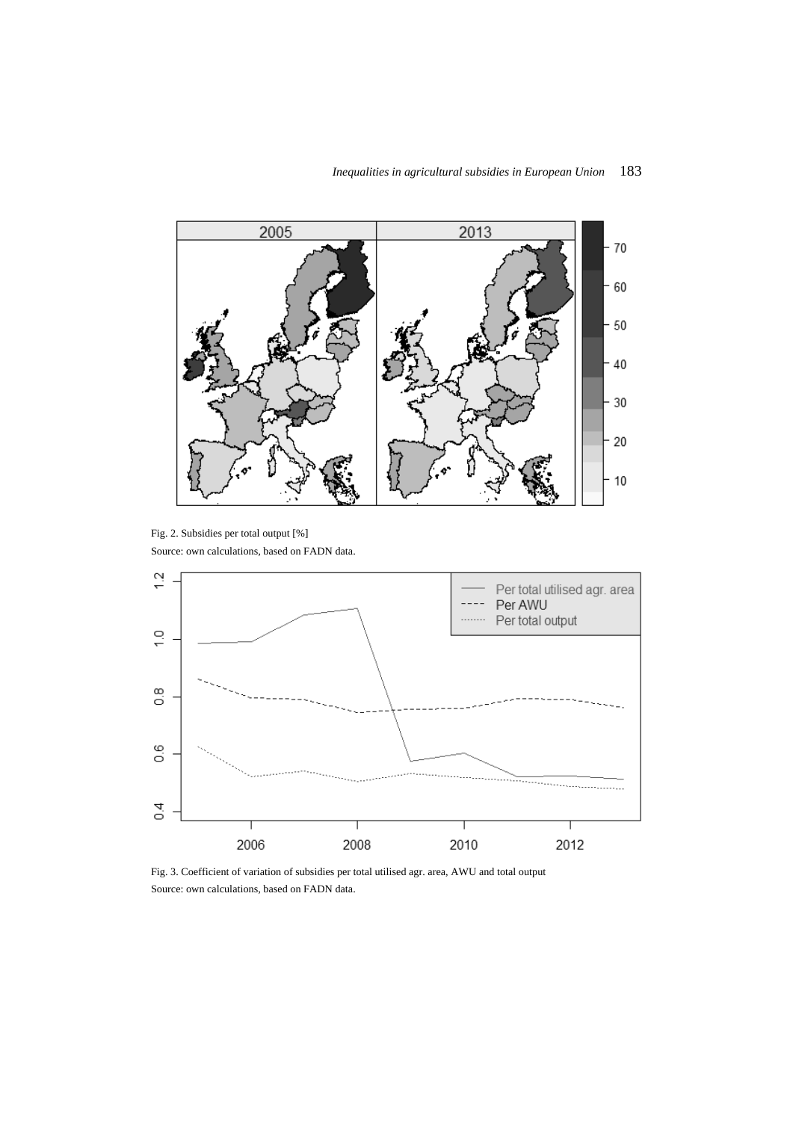

Fig. 2. Subsidies per total output [%] Source: own calculations, based on FADN data.



Fig. 3. Coefficient of variation of subsidies per total utilised agr. area, AWU and total output Source: own calculations, based on FADN data.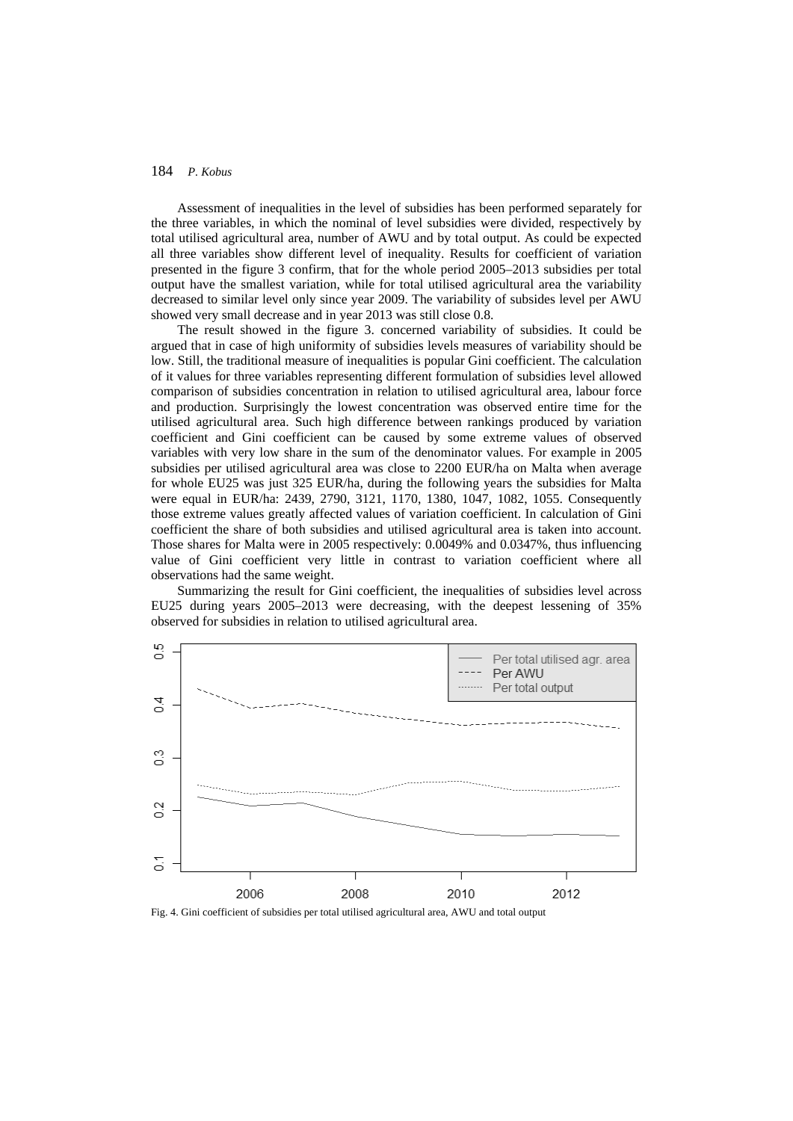Assessment of inequalities in the level of subsidies has been performed separately for the three variables, in which the nominal of level subsidies were divided, respectively by total utilised agricultural area, number of AWU and by total output. As could be expected all three variables show different level of inequality. Results for coefficient of variation presented in the figure 3 confirm, that for the whole period 2005–2013 subsidies per total output have the smallest variation, while for total utilised agricultural area the variability decreased to similar level only since year 2009. The variability of subsides level per AWU showed very small decrease and in year 2013 was still close 0.8.

The result showed in the figure 3. concerned variability of subsidies. It could be argued that in case of high uniformity of subsidies levels measures of variability should be low. Still, the traditional measure of inequalities is popular Gini coefficient. The calculation of it values for three variables representing different formulation of subsidies level allowed comparison of subsidies concentration in relation to utilised agricultural area, labour force and production. Surprisingly the lowest concentration was observed entire time for the utilised agricultural area. Such high difference between rankings produced by variation coefficient and Gini coefficient can be caused by some extreme values of observed variables with very low share in the sum of the denominator values. For example in 2005 subsidies per utilised agricultural area was close to 2200 EUR/ha on Malta when average for whole EU25 was just 325 EUR/ha, during the following years the subsidies for Malta were equal in EUR/ha: 2439, 2790, 3121, 1170, 1380, 1047, 1082, 1055. Consequently those extreme values greatly affected values of variation coefficient. In calculation of Gini coefficient the share of both subsidies and utilised agricultural area is taken into account. Those shares for Malta were in 2005 respectively: 0.0049% and 0.0347%, thus influencing value of Gini coefficient very little in contrast to variation coefficient where all observations had the same weight.

Summarizing the result for Gini coefficient, the inequalities of subsidies level across EU25 during years 2005–2013 were decreasing, with the deepest lessening of 35% observed for subsidies in relation to utilised agricultural area.



Fig. 4. Gini coefficient of subsidies per total utilised agricultural area, AWU and total output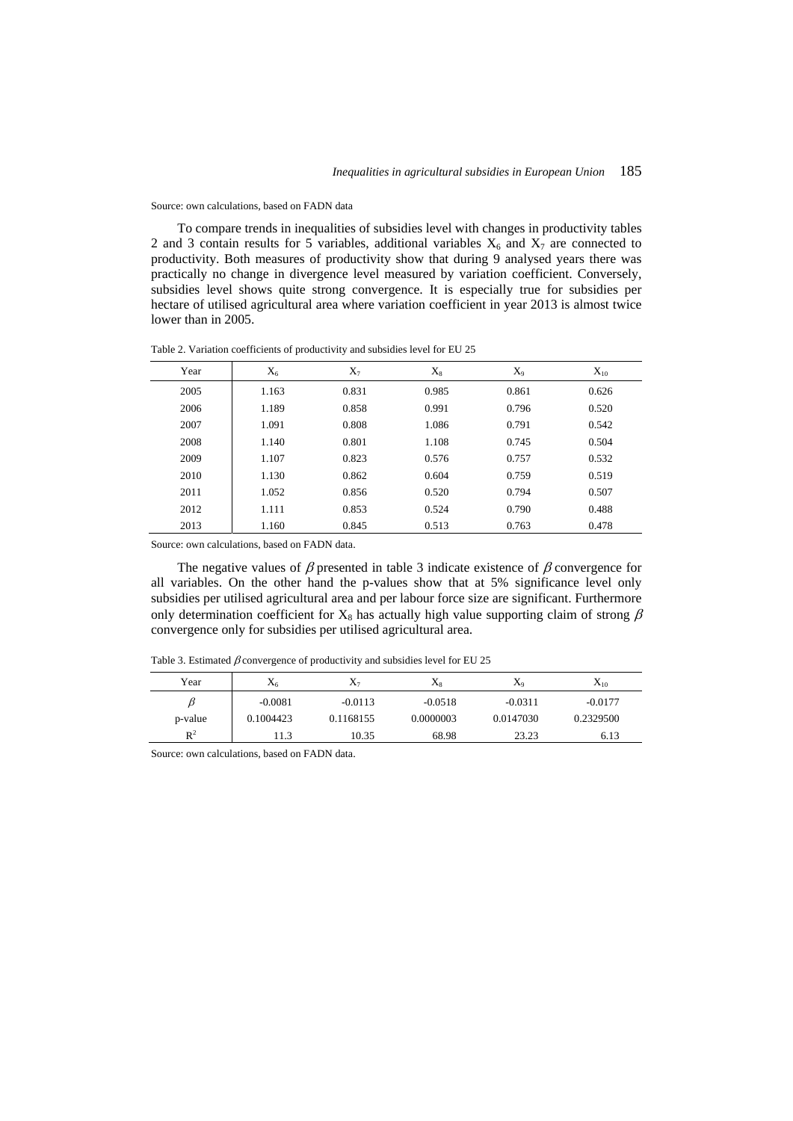Source: own calculations, based on FADN data

To compare trends in inequalities of subsidies level with changes in productivity tables 2 and 3 contain results for 5 variables, additional variables  $X_6$  and  $X_7$  are connected to productivity. Both measures of productivity show that during 9 analysed years there was practically no change in divergence level measured by variation coefficient. Conversely, subsidies level shows quite strong convergence. It is especially true for subsidies per hectare of utilised agricultural area where variation coefficient in year 2013 is almost twice lower than in 2005.

Table 2. Variation coefficients of productivity and subsidies level for EU 25

| Year | $X_6$ | $X_7$ | $X_8$ | $X_9$ | $X_{10}$ |
|------|-------|-------|-------|-------|----------|
| 2005 | 1.163 | 0.831 | 0.985 | 0.861 | 0.626    |
| 2006 | 1.189 | 0.858 | 0.991 | 0.796 | 0.520    |
| 2007 | 1.091 | 0.808 | 1.086 | 0.791 | 0.542    |
| 2008 | 1.140 | 0.801 | 1.108 | 0.745 | 0.504    |
| 2009 | 1.107 | 0.823 | 0.576 | 0.757 | 0.532    |
| 2010 | 1.130 | 0.862 | 0.604 | 0.759 | 0.519    |
| 2011 | 1.052 | 0.856 | 0.520 | 0.794 | 0.507    |
| 2012 | 1.111 | 0.853 | 0.524 | 0.790 | 0.488    |
| 2013 | 1.160 | 0.845 | 0.513 | 0.763 | 0.478    |

Source: own calculations, based on FADN data.

The negative values of  $\beta$  presented in table 3 indicate existence of  $\beta$  convergence for all variables. On the other hand the p-values show that at 5% significance level only subsidies per utilised agricultural area and per labour force size are significant. Furthermore only determination coefficient for  $X_8$  has actually high value supporting claim of strong  $\beta$ convergence only for subsidies per utilised agricultural area.

| Year    | $X_6$     | $X_7$     | $\rm X_8$ | $X_9$     | $X_{10}$  |
|---------|-----------|-----------|-----------|-----------|-----------|
| B       | $-0.0081$ | $-0.0113$ | $-0.0518$ | $-0.0311$ | $-0.0177$ |
| p-value | 0.1004423 | 0.1168155 | 0.0000003 | 0.0147030 | 0.2329500 |
| $R^2$   | 11.3      | 10.35     | 68.98     | 23.23     | 6.13      |

Table 3. Estimated  $\beta$  convergence of productivity and subsidies level for EU 25

Source: own calculations, based on FADN data.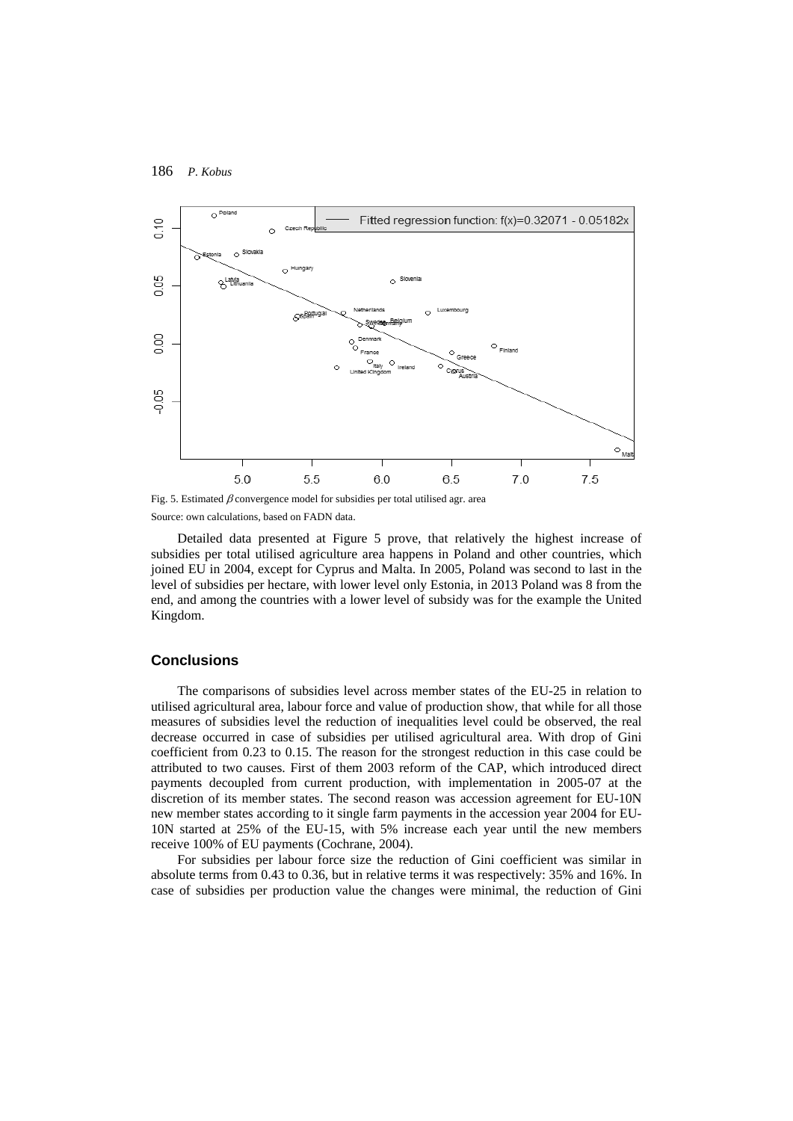

Fig. 5. Estimated  $\beta$  convergence model for subsidies per total utilised agr. area Source: own calculations, based on FADN data.

Detailed data presented at Figure 5 prove, that relatively the highest increase of subsidies per total utilised agriculture area happens in Poland and other countries, which joined EU in 2004, except for Cyprus and Malta. In 2005, Poland was second to last in the level of subsidies per hectare, with lower level only Estonia, in 2013 Poland was 8 from the end, and among the countries with a lower level of subsidy was for the example the United Kingdom.

#### **Conclusions**

The comparisons of subsidies level across member states of the EU-25 in relation to utilised agricultural area, labour force and value of production show, that while for all those measures of subsidies level the reduction of inequalities level could be observed, the real decrease occurred in case of subsidies per utilised agricultural area. With drop of Gini coefficient from 0.23 to 0.15. The reason for the strongest reduction in this case could be attributed to two causes. First of them 2003 reform of the CAP, which introduced direct payments decoupled from current production, with implementation in 2005-07 at the discretion of its member states. The second reason was accession agreement for EU-10N new member states according to it single farm payments in the accession year 2004 for EU-10N started at 25% of the EU-15, with 5% increase each year until the new members receive 100% of EU payments (Cochrane, 2004).

For subsidies per labour force size the reduction of Gini coefficient was similar in absolute terms from 0.43 to 0.36, but in relative terms it was respectively: 35% and 16%. In case of subsidies per production value the changes were minimal, the reduction of Gini